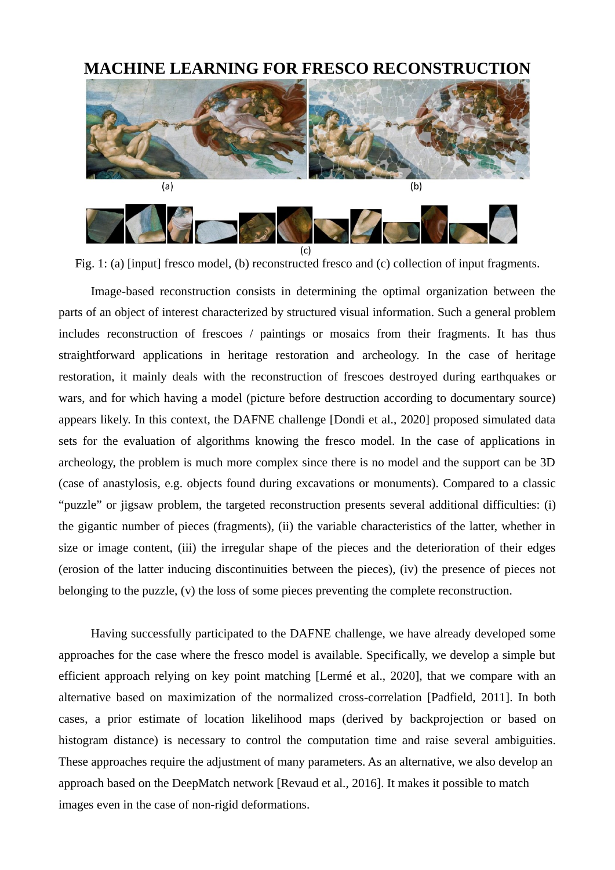## **MACHINE LEARNING FOR FRESCO RECONSTRUCTION**



Fig. 1: (a) [input] fresco model, (b) reconstructed fresco and (c) collection of input fragments.

Image-based reconstruction consists in determining the optimal organization between the parts of an object of interest characterized by structured visual information. Such a general problem includes reconstruction of frescoes / paintings or mosaics from their fragments. It has thus straightforward applications in heritage restoration and archeology. In the case of heritage restoration, it mainly deals with the reconstruction of frescoes destroyed during earthquakes or wars, and for which having a model (picture before destruction according to documentary source) appears likely. In this context, the DAFNE challenge [Dondi et al., 2020] proposed simulated data sets for the evaluation of algorithms knowing the fresco model. In the case of applications in archeology, the problem is much more complex since there is no model and the support can be 3D (case of anastylosis, e.g. objects found during excavations or monuments). Compared to a classic "puzzle" or jigsaw problem, the targeted reconstruction presents several additional difficulties: (i) the gigantic number of pieces (fragments), (ii) the variable characteristics of the latter, whether in size or image content, (iii) the irregular shape of the pieces and the deterioration of their edges (erosion of the latter inducing discontinuities between the pieces), (iv) the presence of pieces not belonging to the puzzle, (v) the loss of some pieces preventing the complete reconstruction.

Having successfully participated to the DAFNE challenge, we have already developed some approaches for the case where the fresco model is available. Specifically, we develop a simple but efficient approach relying on key point matching [Lermé et al., 2020], that we compare with an alternative based on maximization of the normalized cross-correlation [Padfield, 2011]. In both cases, a prior estimate of location likelihood maps (derived by backprojection or based on histogram distance) is necessary to control the computation time and raise several ambiguities. These approaches require the adjustment of many parameters. As an alternative, we also develop an approach based on the DeepMatch network [Revaud et al., 2016]. It makes it possible to match images even in the case of non-rigid deformations.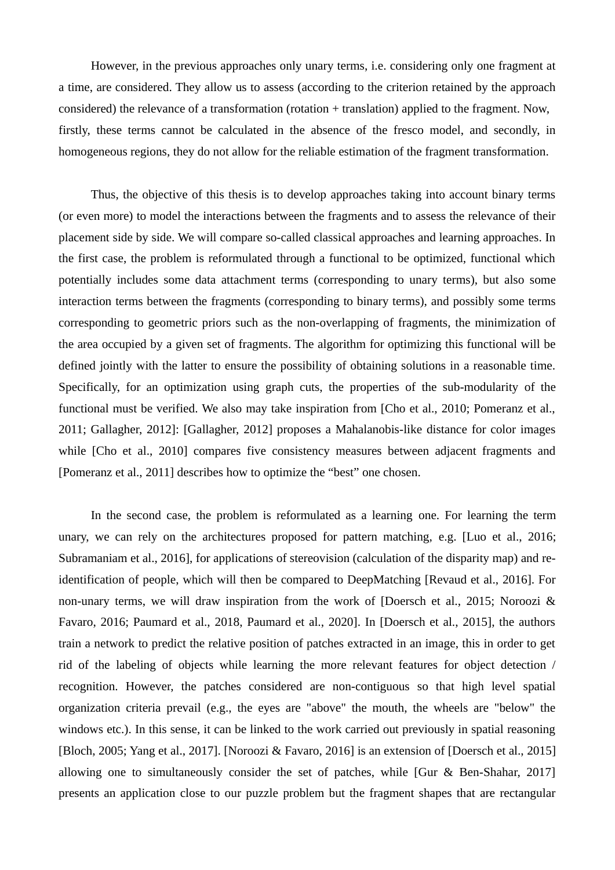However, in the previous approaches only unary terms, i.e. considering only one fragment at a time, are considered. They allow us to assess (according to the criterion retained by the approach considered) the relevance of a transformation (rotation + translation) applied to the fragment. Now, firstly, these terms cannot be calculated in the absence of the fresco model, and secondly, in homogeneous regions, they do not allow for the reliable estimation of the fragment transformation.

Thus, the objective of this thesis is to develop approaches taking into account binary terms (or even more) to model the interactions between the fragments and to assess the relevance of their placement side by side. We will compare so-called classical approaches and learning approaches. In the first case, the problem is reformulated through a functional to be optimized, functional which potentially includes some data attachment terms (corresponding to unary terms), but also some interaction terms between the fragments (corresponding to binary terms), and possibly some terms corresponding to geometric priors such as the non-overlapping of fragments, the minimization of the area occupied by a given set of fragments. The algorithm for optimizing this functional will be defined jointly with the latter to ensure the possibility of obtaining solutions in a reasonable time. Specifically, for an optimization using graph cuts, the properties of the sub-modularity of the functional must be verified. We also may take inspiration from [Cho et al., 2010; Pomeranz et al., 2011; Gallagher, 2012]: [Gallagher, 2012] proposes a Mahalanobis-like distance for color images while [Cho et al., 2010] compares five consistency measures between adjacent fragments and [Pomeranz et al., 2011] describes how to optimize the "best" one chosen.

In the second case, the problem is reformulated as a learning one. For learning the term unary, we can rely on the architectures proposed for pattern matching, e.g. [Luo et al., 2016; Subramaniam et al., 2016], for applications of stereovision (calculation of the disparity map) and reidentification of people, which will then be compared to DeepMatching [Revaud et al., 2016]. For non-unary terms, we will draw inspiration from the work of [Doersch et al., 2015; Noroozi & Favaro, 2016; Paumard et al., 2018, Paumard et al., 2020]. In [Doersch et al., 2015], the authors train a network to predict the relative position of patches extracted in an image, this in order to get rid of the labeling of objects while learning the more relevant features for object detection / recognition. However, the patches considered are non-contiguous so that high level spatial organization criteria prevail (e.g., the eyes are "above" the mouth, the wheels are "below" the windows etc.). In this sense, it can be linked to the work carried out previously in spatial reasoning [Bloch, 2005; Yang et al., 2017]. [Noroozi & Favaro, 2016] is an extension of [Doersch et al., 2015] allowing one to simultaneously consider the set of patches, while [Gur & Ben-Shahar, 2017] presents an application close to our puzzle problem but the fragment shapes that are rectangular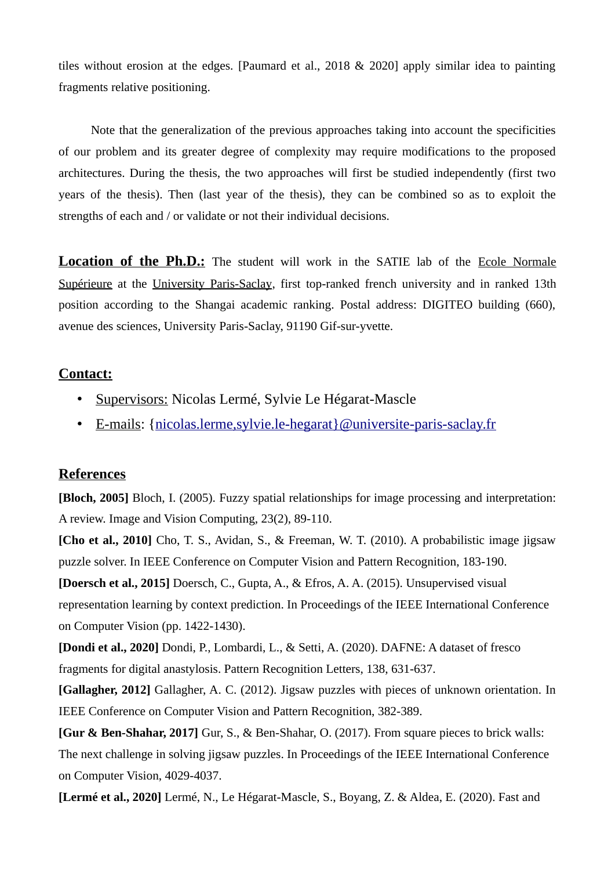tiles without erosion at the edges. [Paumard et al., 2018 & 2020] apply similar idea to painting fragments relative positioning.

Note that the generalization of the previous approaches taking into account the specificities of our problem and its greater degree of complexity may require modifications to the proposed architectures. During the thesis, the two approaches will first be studied independently (first two years of the thesis). Then (last year of the thesis), they can be combined so as to exploit the strengths of each and / or validate or not their individual decisions.

**Location of the Ph.D.:** The student will work in the SATIE lab of the Ecole Normale Supérieure at the University Paris-Saclay, first top-ranked french university and in ranked 13th position according to the Shangai academic ranking. Postal address: DIGITEO building (660), avenue des sciences, University Paris-Saclay, 91190 Gif-sur-yvette.

## **Contact:**

- Supervisors: Nicolas Lermé, Sylvie Le Hégarat-Mascle
- E-mails: [{nicolas.lerme,sylvie.le-hegarat}@universite-paris-saclay.fr](mailto:nicolas.lerme@universite-paris-saclay.fr)

## **References**

**[Bloch, 2005]** Bloch, I. (2005). Fuzzy spatial relationships for image processing and interpretation: A review. Image and Vision Computing, 23(2), 89-110.

**[Cho et al., 2010]** Cho, T. S., Avidan, S., & Freeman, W. T. (2010). A probabilistic image jigsaw puzzle solver. In IEEE Conference on Computer Vision and Pattern Recognition, 183-190.

**[Doersch et al., 2015]** Doersch, C., Gupta, A., & Efros, A. A. (2015). Unsupervised visual representation learning by context prediction. In Proceedings of the IEEE International Conference on Computer Vision (pp. 1422-1430).

**[Dondi et al., 2020]** Dondi, P., Lombardi, L., & Setti, A. (2020). DAFNE: A dataset of fresco fragments for digital anastylosis. Pattern Recognition Letters, 138, 631-637.

**[Gallagher, 2012]** Gallagher, A. C. (2012). Jigsaw puzzles with pieces of unknown orientation. In IEEE Conference on Computer Vision and Pattern Recognition, 382-389.

**[Gur & Ben-Shahar, 2017]** Gur, S., & Ben-Shahar, O. (2017). From square pieces to brick walls: The next challenge in solving jigsaw puzzles. In Proceedings of the IEEE International Conference on Computer Vision, 4029-4037.

**[Lermé et al., 2020]** Lermé, N., Le Hégarat-Mascle, S., Boyang, Z. & Aldea, E. (2020). Fast and